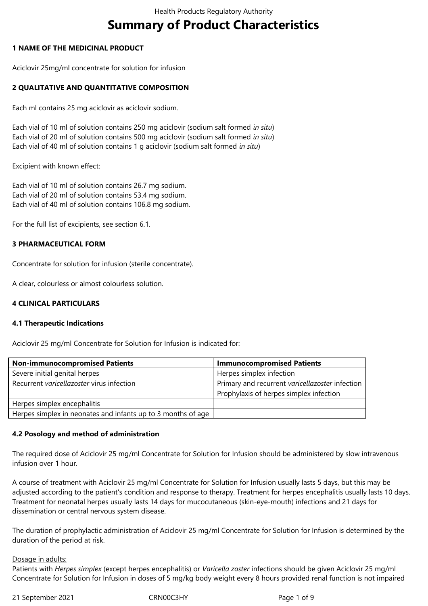# **Summary of Product Characteristics**

## **1 NAME OF THE MEDICINAL PRODUCT**

Aciclovir 25mg/ml concentrate for solution for infusion

## **2 QUALITATIVE AND QUANTITATIVE COMPOSITION**

Each ml contains 25 mg aciclovir as aciclovir sodium.

Each vial of 10 ml of solution contains 250 mg aciclovir (sodium salt formed *in situ*) Each vial of 20 ml of solution contains 500 mg aciclovir (sodium salt formed *in situ*) Each vial of 40 ml of solution contains 1 g aciclovir (sodium salt formed *in situ*)

Excipient with known effect:

Each vial of 10 ml of solution contains 26.7 mg sodium. Each vial of 20 ml of solution contains 53.4 mg sodium. Each vial of 40 ml of solution contains 106.8 mg sodium.

For the full list of excipients, see section 6.1.

## **3 PHARMACEUTICAL FORM**

Concentrate for solution for infusion (sterile concentrate).

A clear, colourless or almost colourless solution.

## **4 CLINICAL PARTICULARS**

#### **4.1 Therapeutic Indications**

Aciclovir 25 mg/ml Concentrate for Solution for Infusion is indicated for:

| <b>Non-immunocompromised Patients</b>                        | <b>Immunocompromised Patients</b>               |
|--------------------------------------------------------------|-------------------------------------------------|
| Severe initial genital herpes                                | Herpes simplex infection                        |
| Recurrent varicellazoster virus infection                    | Primary and recurrent varicellazoster infection |
|                                                              | Prophylaxis of herpes simplex infection         |
| Herpes simplex encephalitis                                  |                                                 |
| Herpes simplex in neonates and infants up to 3 months of age |                                                 |

#### **4.2 Posology and method of administration**

The required dose of Aciclovir 25 mg/ml Concentrate for Solution for Infusion should be administered by slow intravenous infusion over 1 hour.

A course of treatment with Aciclovir 25 mg/ml Concentrate for Solution for Infusion usually lasts 5 days, but this may be adjusted according to the patient's condition and response to therapy. Treatment for herpes encephalitis usually lasts 10 days. Treatment for neonatal herpes usually lasts 14 days for mucocutaneous (skin-eye-mouth) infections and 21 days for dissemination or central nervous system disease.

The duration of prophylactic administration of Aciclovir 25 mg/ml Concentrate for Solution for Infusion is determined by the duration of the period at risk.

#### Dosage in adults:

Patients with *Herpes simplex* (except herpes encephalitis) or *Varicella zoster* infections should be given Aciclovir 25 mg/ml Concentrate for Solution for Infusion in doses of 5 mg/kg body weight every 8 hours provided renal function is not impaired

21 September 2021 CRN00C3HY Page 1 of 9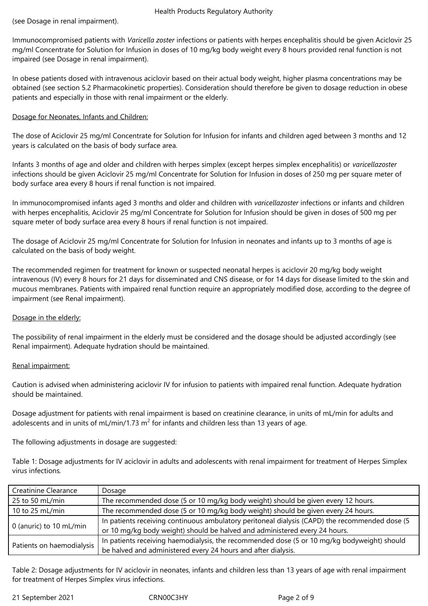Immunocompromised patients with *Varicella zoster* infections or patients with herpes encephalitis should be given Aciclovir 25 mg/ml Concentrate for Solution for Infusion in doses of 10 mg/kg body weight every 8 hours provided renal function is not impaired (see Dosage in renal impairment).

In obese patients dosed with intravenous aciclovir based on their actual body weight, higher plasma concentrations may be obtained (see section 5.2 Pharmacokinetic properties). Consideration should therefore be given to dosage reduction in obese patients and especially in those with renal impairment or the elderly.

## Dosage for Neonates, Infants and Children:

The dose of Aciclovir 25 mg/ml Concentrate for Solution for Infusion for infants and children aged between 3 months and 12 years is calculated on the basis of body surface area.

Infants 3 months of age and older and children with herpes simplex (except herpes simplex encephalitis) or *varicellazoster* infections should be given Aciclovir 25 mg/ml Concentrate for Solution for Infusion in doses of 250 mg per square meter of body surface area every 8 hours if renal function is not impaired.

In immunocompromised infants aged 3 months and older and children with *varicellazoster* infections or infants and children with herpes encephalitis, Aciclovir 25 mg/ml Concentrate for Solution for Infusion should be given in doses of 500 mg per square meter of body surface area every 8 hours if renal function is not impaired.

The dosage of Aciclovir 25 mg/ml Concentrate for Solution for Infusion in neonates and infants up to 3 months of age is calculated on the basis of body weight.

The recommended regimen for treatment for known or suspected neonatal herpes is aciclovir 20 mg/kg body weight intravenous (IV) every 8 hours for 21 days for disseminated and CNS disease, or for 14 days for disease limited to the skin and mucous membranes. Patients with impaired renal function require an appropriately modified dose, according to the degree of impairment (see Renal impairment).

## Dosage in the elderly:

The possibility of renal impairment in the elderly must be considered and the dosage should be adjusted accordingly (see Renal impairment). Adequate hydration should be maintained.

#### Renal impairment:

Caution is advised when administering aciclovir IV for infusion to patients with impaired renal function. Adequate hydration should be maintained.

Dosage adjustment for patients with renal impairment is based on creatinine clearance, in units of mL/min for adults and adolescents and in units of mL/min/1.73  $m^2$  for infants and children less than 13 years of age.

The following adjustments in dosage are suggested:

Table 1: Dosage adjustments for IV aciclovir in adults and adolescents with renal impairment for treatment of Herpes Simplex virus infections*.*

| Creatinine Clearance      | Dosage                                                                                         |  |  |
|---------------------------|------------------------------------------------------------------------------------------------|--|--|
| 25 to 50 mL/min           | The recommended dose (5 or 10 mg/kg body weight) should be given every 12 hours.               |  |  |
| 10 to 25 mL/min           | The recommended dose (5 or 10 mg/kg body weight) should be given every 24 hours.               |  |  |
| 0 (anuric) to 10 mL/min   | In patients receiving continuous ambulatory peritoneal dialysis (CAPD) the recommended dose (5 |  |  |
|                           | or 10 mg/kg body weight) should be halved and administered every 24 hours.                     |  |  |
|                           | In patients receiving haemodialysis, the recommended dose (5 or 10 mg/kg bodyweight) should    |  |  |
| Patients on haemodialysis | be halved and administered every 24 hours and after dialysis.                                  |  |  |

Table 2: Dosage adjustments for IV aciclovir in neonates, infants and children less than 13 years of age with renal impairment for treatment of Herpes Simplex virus infections.

21 September 2021 CRN00C3HY Page 2 of 9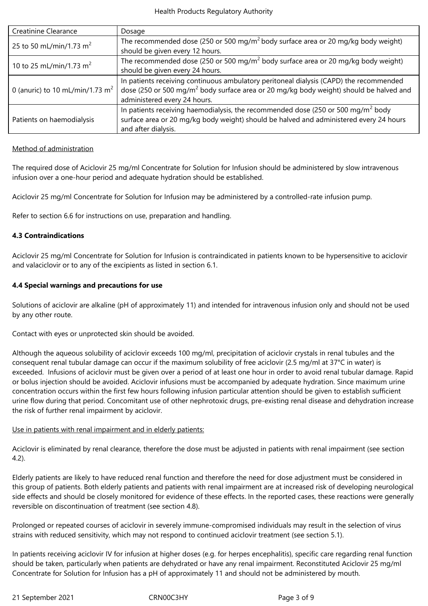| <b>Creatinine Clearance</b>                 | Dosage                                                                                             |  |  |
|---------------------------------------------|----------------------------------------------------------------------------------------------------|--|--|
| 25 to 50 mL/min/1.73 m <sup>2</sup>         | The recommended dose (250 or 500 mg/m <sup>2</sup> body surface area or 20 mg/kg body weight)      |  |  |
|                                             | should be given every 12 hours.                                                                    |  |  |
| 10 to 25 mL/min/1.73 m <sup>2</sup>         | The recommended dose (250 or 500 mg/m <sup>2</sup> body surface area or 20 mg/kg body weight)      |  |  |
|                                             | should be given every 24 hours.                                                                    |  |  |
|                                             | In patients receiving continuous ambulatory peritoneal dialysis (CAPD) the recommended             |  |  |
| 0 (anuric) to 10 mL/min/1.73 m <sup>2</sup> | dose (250 or 500 mg/m <sup>2</sup> body surface area or 20 mg/kg body weight) should be halved and |  |  |
|                                             | administered every 24 hours.                                                                       |  |  |
|                                             | In patients receiving haemodialysis, the recommended dose (250 or 500 mg/ $m^2$ body               |  |  |
| Patients on haemodialysis                   | surface area or 20 mg/kg body weight) should be halved and administered every 24 hours             |  |  |
|                                             | and after dialysis.                                                                                |  |  |

#### Method of administration

The required dose of Aciclovir 25 mg/ml Concentrate for Solution for Infusion should be administered by slow intravenous infusion over a one-hour period and adequate hydration should be established.

Aciclovir 25 mg/ml Concentrate for Solution for Infusion may be administered by a controlled-rate infusion pump.

Refer to section 6.6 for instructions on use, preparation and handling.

#### **4.3 Contraindications**

Aciclovir 25 mg/ml Concentrate for Solution for Infusion is contraindicated in patients known to be hypersensitive to aciclovir and valaciclovir or to any of the excipients as listed in section 6.1.

#### **4.4 Special warnings and precautions for use**

Solutions of aciclovir are alkaline (pH of approximately 11) and intended for intravenous infusion only and should not be used by any other route.

Contact with eyes or unprotected skin should be avoided.

Although the aqueous solubility of aciclovir exceeds 100 mg/ml, precipitation of aciclovir crystals in renal tubules and the consequent renal tubular damage can occur if the maximum solubility of free aciclovir (2.5 mg/ml at 37°C in water) is exceeded. Infusions of aciclovir must be given over a period of at least one hour in order to avoid renal tubular damage. Rapid or bolus injection should be avoided. Aciclovir infusions must be accompanied by adequate hydration. Since maximum urine concentration occurs within the first few hours following infusion particular attention should be given to establish sufficient urine flow during that period. Concomitant use of other nephrotoxic drugs, pre-existing renal disease and dehydration increase the risk of further renal impairment by aciclovir.

#### Use in patients with renal impairment and in elderly patients:

Aciclovir is eliminated by renal clearance, therefore the dose must be adjusted in patients with renal impairment (see section 4.2).

Elderly patients are likely to have reduced renal function and therefore the need for dose adjustment must be considered in this group of patients. Both elderly patients and patients with renal impairment are at increased risk of developing neurological side effects and should be closely monitored for evidence of these effects. In the reported cases, these reactions were generally reversible on discontinuation of treatment (see section 4.8).

Prolonged or repeated courses of aciclovir in severely immune-compromised individuals may result in the selection of virus strains with reduced sensitivity, which may not respond to continued aciclovir treatment (see section 5.1).

In patients receiving aciclovir IV for infusion at higher doses (e.g. for herpes encephalitis), specific care regarding renal function should be taken, particularly when patients are dehydrated or have any renal impairment. Reconstituted Aciclovir 25 mg/ml Concentrate for Solution for Infusion has a pH of approximately 11 and should not be administered by mouth.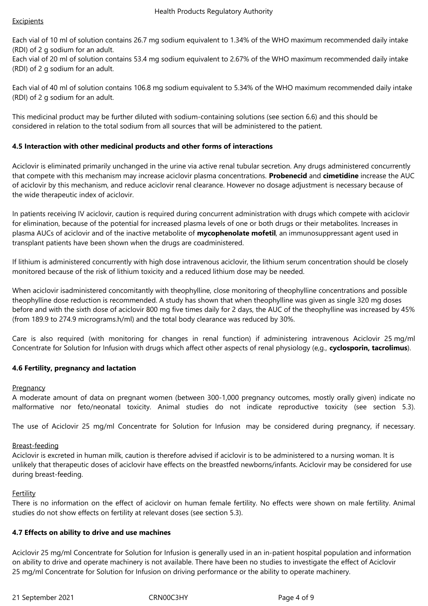Each vial of 10 ml of solution contains 26.7 mg sodium equivalent to 1.34% of the WHO maximum recommended daily intake (RDI) of 2 g sodium for an adult.

Each vial of 20 ml of solution contains 53.4 mg sodium equivalent to 2.67% of the WHO maximum recommended daily intake (RDI) of 2 g sodium for an adult.

Each vial of 40 ml of solution contains 106.8 mg sodium equivalent to 5.34% of the WHO maximum recommended daily intake (RDI) of 2 g sodium for an adult.

This medicinal product may be further diluted with sodium‑containing solutions (see section 6.6) and this should be considered in relation to the total sodium from all sources that will be administered to the patient.

## **4.5 Interaction with other medicinal products and other forms of interactions**

Aciclovir is eliminated primarily unchanged in the urine via active renal tubular secretion. Any drugs administered concurrently that compete with this mechanism may increase aciclovir plasma concentrations. **Probenecid** and **cimetidine** increase the AUC of aciclovir by this mechanism, and reduce aciclovir renal clearance. However no dosage adjustment is necessary because of the wide therapeutic index of aciclovir.

In patients receiving IV aciclovir, caution is required during concurrent administration with drugs which compete with aciclovir for elimination, because of the potential for increased plasma levels of one or both drugs or their metabolites. Increases in plasma AUCs of aciclovir and of the inactive metabolite of **mycophenolate mofetil**, an immunosuppressant agent used in transplant patients have been shown when the drugs are coadministered.

If lithium is administered concurrently with high dose intravenous aciclovir, the lithium serum concentration should be closely monitored because of the risk of lithium toxicity and a reduced lithium dose may be needed.

When aciclovir isadministered concomitantly with theophylline*,* close monitoring of theophylline concentrations and possible theophylline dose reduction is recommended. A study has shown that when theophylline was given as single 320 mg doses before and with the sixth dose of aciclovir 800 mg five times daily for 2 days, the AUC of the theophylline was increased by 45% (from 189.9 to 274.9 micrograms.h/ml) and the total body clearance was reduced by 30%.

Care is also required (with monitoring for changes in renal function) if administering intravenous Aciclovir 25 mg/ml Concentrate for Solution for Infusion with drugs which affect other aspects of renal physiology (e,g., **cyclosporin, tacrolimus**).

#### **4.6 Fertility, pregnancy and lactation**

#### **Pregnancy**

A moderate amount of data on pregnant women (between 300-1,000 pregnancy outcomes, mostly orally given) indicate no malformative nor feto/neonatal toxicity. Animal studies do not indicate reproductive toxicity (see section 5.3).

The use of Aciclovir 25 mg/ml Concentrate for Solution for Infusion may be considered during pregnancy, if necessary.

#### Breast-feeding

Aciclovir is excreted in human milk, caution is therefore advised if aciclovir is to be administered to a nursing woman. It is unlikely that therapeutic doses of aciclovir have effects on the breastfed newborns/infants. Aciclovir may be considered for use during breast-feeding.

#### Fertility

There is no information on the effect of aciclovir on human female fertility. No effects were shown on male fertility. Animal studies do not show effects on fertility at relevant doses (see section 5.3).

#### **4.7 Effects on ability to drive and use machines**

Aciclovir 25 mg/ml Concentrate for Solution for Infusion is generally used in an in-patient hospital population and information on ability to drive and operate machinery is not available. There have been no studies to investigate the effect of Aciclovir 25 mg/ml Concentrate for Solution for Infusion on driving performance or the ability to operate machinery.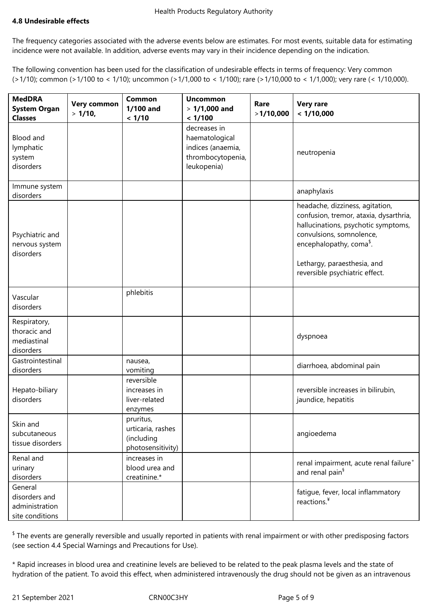## **4.8 Undesirable effects**

The frequency categories associated with the adverse events below are estimates. For most events, suitable data for estimating incidence were not available. In addition, adverse events may vary in their incidence depending on the indication.

The following convention has been used for the classification of undesirable effects in terms of frequency: Very common (>1/10); common (>1/100 to < 1/10); uncommon (>1/1,000 to < 1/100); rare (>1/10,000 to < 1/1,000); very rare (< 1/10,000).

| <b>MedDRA</b><br><b>System Organ</b><br><b>Classes</b>        | <b>Very common</b><br>$>1/10$ , | Common<br>1/100 and<br>< 1/10                                     | <b>Uncommon</b><br>$>1/1,000$ and<br>< 1/100                                            | Rare<br>>1/10,000 | <b>Very rare</b><br>< 1/10,000                                                                                                                                                                                                                        |
|---------------------------------------------------------------|---------------------------------|-------------------------------------------------------------------|-----------------------------------------------------------------------------------------|-------------------|-------------------------------------------------------------------------------------------------------------------------------------------------------------------------------------------------------------------------------------------------------|
| Blood and<br>lymphatic<br>system<br>disorders                 |                                 |                                                                   | decreases in<br>haematological<br>indices (anaemia,<br>thrombocytopenia,<br>leukopenia) |                   | neutropenia                                                                                                                                                                                                                                           |
| Immune system<br>disorders                                    |                                 |                                                                   |                                                                                         |                   | anaphylaxis                                                                                                                                                                                                                                           |
| Psychiatric and<br>nervous system<br>disorders                |                                 |                                                                   |                                                                                         |                   | headache, dizziness, agitation,<br>confusion, tremor, ataxia, dysarthria,<br>hallucinations, psychotic symptoms,<br>convulsions, somnolence,<br>encephalopathy, coma <sup>\$</sup> .<br>Lethargy, paraesthesia, and<br>reversible psychiatric effect. |
| Vascular<br>disorders                                         |                                 | phlebitis                                                         |                                                                                         |                   |                                                                                                                                                                                                                                                       |
| Respiratory,<br>thoracic and<br>mediastinal<br>disorders      |                                 |                                                                   |                                                                                         |                   | dyspnoea                                                                                                                                                                                                                                              |
| Gastrointestinal<br>disorders                                 |                                 | nausea,<br>vomiting                                               |                                                                                         |                   | diarrhoea, abdominal pain                                                                                                                                                                                                                             |
| Hepato-biliary<br>disorders                                   |                                 | reversible<br>increases in<br>liver-related<br>enzymes            |                                                                                         |                   | reversible increases in bilirubin,<br>jaundice, hepatitis                                                                                                                                                                                             |
| Skin and<br>subcutaneous<br>tissue disorders                  |                                 | pruritus,<br>urticaria, rashes<br>(including<br>photosensitivity) |                                                                                         |                   | angioedema                                                                                                                                                                                                                                            |
| Renal and<br>urinary<br>disorders                             |                                 | increases in<br>blood urea and<br>creatinine.*                    |                                                                                         |                   | renal impairment, acute renal failure <sup>+</sup><br>and renal pain <sup>§</sup>                                                                                                                                                                     |
| General<br>disorders and<br>administration<br>site conditions |                                 |                                                                   |                                                                                         |                   | fatique, fever, local inflammatory<br>reactions. <sup>¥</sup>                                                                                                                                                                                         |

 $^{\$}$  The events are generally reversible and usually reported in patients with renal impairment or with other predisposing factors (see section 4.4 Special Warnings and Precautions for Use).

\* Rapid increases in blood urea and creatinine levels are believed to be related to the peak plasma levels and the state of hydration of the patient. To avoid this effect, when administered intravenously the drug should not be given as an intravenous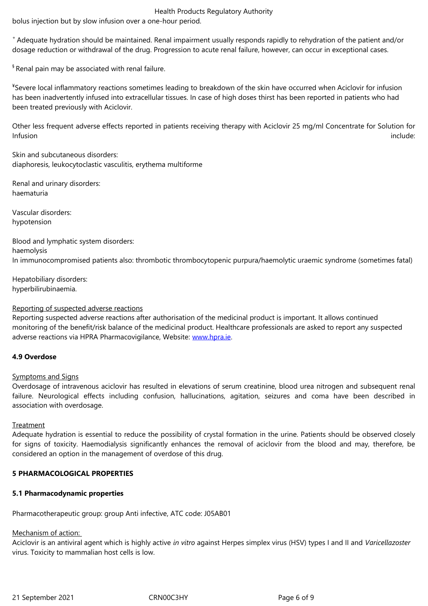<sup>+</sup>Adequate hydration should be maintained. Renal impairment usually responds rapidly to rehydration of the patient and/or dosage reduction or withdrawal of the drug. Progression to acute renal failure, however, can occur in exceptional cases.

§ Renal pain may be associated with renal failure.

¥ Severe local inflammatory reactions sometimes leading to breakdown of the skin have occurred when Aciclovir for infusion has been inadvertently infused into extracellular tissues. In case of high doses thirst has been reported in patients who had been treated previously with Aciclovir.

Other less frequent adverse effects reported in patients receiving therapy with Aciclovir 25 mg/ml Concentrate for Solution for Infusion include:

Skin and subcutaneous disorders: diaphoresis, leukocytoclastic vasculitis, erythema multiforme

Renal and urinary disorders: haematuria

Vascular disorders: hypotension

Blood and lymphatic system disorders: haemolysis In immunocompromised patients also: thrombotic thrombocytopenic purpura/haemolytic uraemic syndrome (sometimes fatal)

Hepatobiliary disorders: hyperbilirubinaemia.

#### Reporting of suspected adverse reactions

Reporting suspected adverse reactions after authorisation of the medicinal product is important. It allows continued monitoring of the benefit/risk balance of the medicinal product. Healthcare professionals are asked to report any suspected adverse reactions via HPRA Pharmacovigilance, Website: www.hpra.ie.

## **4.9 Overdose**

#### Symptoms and Signs

Overdosage of intravenous aciclovir has resulted in elevations of serum creatinine, blood urea nitrogen and subsequent renal failure. Neurological effects including confusion, hallucinations, agitation, seizures and coma have been described in association with overdosage.

#### **Treatment**

Adequate hydration is essential to reduce the possibility of crystal formation in the urine. Patients should be observed closely for signs of toxicity. Haemodialysis significantly enhances the removal of aciclovir from the blood and may, therefore, be considered an option in the management of overdose of this drug.

#### **5 PHARMACOLOGICAL PROPERTIES**

#### **5.1 Pharmacodynamic properties**

Pharmacotherapeutic group: group Anti infective, ATC code: J05AB01

#### Mechanism of action:

Aciclovir is an antiviral agent which is highly active *in vitro* against Herpes simplex virus (HSV) types I and II and *Varicellazoster* virus. Toxicity to mammalian host cells is low.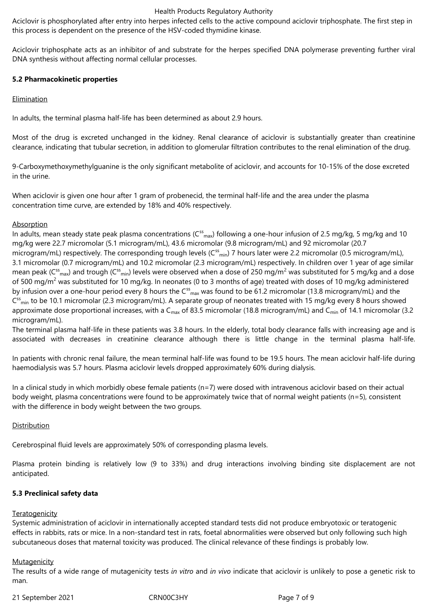#### Health Products Regulatory Authority

Aciclovir is phosphorylated after entry into herpes infected cells to the active compound aciclovir triphosphate. The first step in this process is dependent on the presence of the HSV‑coded thymidine kinase.

Aciclovir triphosphate acts as an inhibitor of and substrate for the herpes specified DNA polymerase preventing further viral DNA synthesis without affecting normal cellular processes.

#### **5.2 Pharmacokinetic properties**

#### Elimination

In adults, the terminal plasma half-life has been determined as about 2.9 hours.

Most of the drug is excreted unchanged in the kidney. Renal clearance of aciclovir is substantially greater than creatinine clearance, indicating that tubular secretion, in addition to glomerular filtration contributes to the renal elimination of the drug.

9‑Carboxymethoxymethylguanine is the only significant metabolite of aciclovir, and accounts for 10-15% of the dose excreted in the urine.

When aciclovir is given one hour after 1 gram of probenecid, the terminal half-life and the area under the plasma concentration time curve, are extended by 18% and 40% respectively.

#### **Absorption**

In adults, mean steady state peak plasma concentrations ( $C_{max}^{ss}$ ) following a one-hour infusion of 2.5 mg/kg, 5 mg/kg and 10 mg/kg were 22.7 micromolar (5.1 microgram/mL), 43.6 micromolar (9.8 microgram/mL) and 92 micromolar (20.7 microgram/mL) respectively. The corresponding trough levels (C<sup>ss</sup><sub>min</sub>) 7 hours later were 2.2 micromolar (0.5 microgram/mL), 3.1 micromolar (0.7 microgram/mL) and 10.2 micromolar (2.3 microgram/mL) respectively. In children over 1 year of age similar mean peak (C<sup>ss</sup><sub>max</sub>) and trough (C<sup>ss</sup><sub>min</sub>) levels were observed when a dose of 250 mg/m<sup>2</sup> was substituted for 5 mg/kg and a dose of 500 mg/m<sup>2</sup> was substituted for 10 mg/kg. In neonates (0 to 3 months of age) treated with doses of 10 mg/kg administered by infusion over a one-hour period every 8 hours the  $C^{ss}$ <sub>max</sub> was found to be 61.2 micromolar (13.8 microgram/mL) and the C<sup>ss</sup><sub>min</sub> to be 10.1 micromolar (2.3 microgram/mL). A separate group of neonates treated with 15 mg/kg every 8 hours showed approximate dose proportional increases, with a  $C_{\text{max}}$  of 83.5 micromolar (18.8 microgram/mL) and  $C_{\text{min}}$  of 14.1 micromolar (3.2 microgram/mL).

The terminal plasma half-life in these patients was 3.8 hours. In the elderly, total body clearance falls with increasing age and is associated with decreases in creatinine clearance although there is little change in the terminal plasma half-life.

In patients with chronic renal failure, the mean terminal half-life was found to be 19.5 hours. The mean aciclovir half-life during haemodialysis was 5.7 hours. Plasma aciclovir levels dropped approximately 60% during dialysis.

In a clinical study in which morbidly obese female patients (n=7) were dosed with intravenous aciclovir based on their actual body weight, plasma concentrations were found to be approximately twice that of normal weight patients (n=5), consistent with the difference in body weight between the two groups.

#### **Distribution**

Cerebrospinal fluid levels are approximately 50% of corresponding plasma levels.

Plasma protein binding is relatively low (9 to 33%) and drug interactions involving binding site displacement are not anticipated.

#### **5.3 Preclinical safety data**

#### **Teratogenicity**

Systemic administration of aciclovir in internationally accepted standard tests did not produce embryotoxic or teratogenic effects in rabbits, rats or mice. In a non-standard test in rats, foetal abnormalities were observed but only following such high subcutaneous doses that maternal toxicity was produced. The clinical relevance of these findings is probably low.

#### **Mutagenicity**

The results of a wide range of mutagenicity tests *in vitro* and *in vivo* indicate that aciclovir is unlikely to pose a genetic risk to man.

21 September 2021 CRN00C3HY Page 7 of 9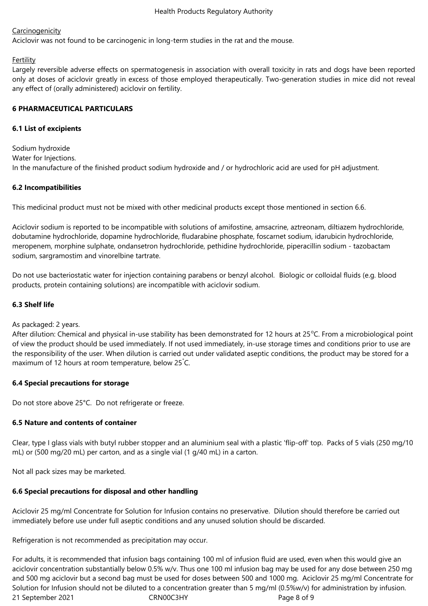## **Carcinogenicity**

Aciclovir was not found to be carcinogenic in long-term studies in the rat and the mouse.

## Fertility

Largely reversible adverse effects on spermatogenesis in association with overall toxicity in rats and dogs have been reported only at doses of aciclovir greatly in excess of those employed therapeutically. Two-generation studies in mice did not reveal any effect of (orally administered) aciclovir on fertility.

## **6 PHARMACEUTICAL PARTICULARS**

### **6.1 List of excipients**

Sodium hydroxide Water for Injections. In the manufacture of the finished product sodium hydroxide and / or hydrochloric acid are used for pH adjustment.

## **6.2 Incompatibilities**

This medicinal product must not be mixed with other medicinal products except those mentioned in section 6.6.

Aciclovir sodium is reported to be incompatible with solutions of amifostine, amsacrine, aztreonam, diltiazem hydrochloride, dobutamine hydrochloride, dopamine hydrochloride, fludarabine phosphate, foscarnet sodium, idarubicin hydrochloride, meropenem, morphine sulphate, ondansetron hydrochloride, pethidine hydrochloride, piperacillin sodium - tazobactam sodium, sargramostim and vinorelbine tartrate.

Do not use bacteriostatic water for injection containing parabens or benzyl alcohol. Biologic or colloidal fluids (e.g. blood products, protein containing solutions) are incompatible with aciclovir sodium.

## **6.3 Shelf life**

As packaged: 2 years.

After dilution: Chemical and physical in-use stability has been demonstrated for 12 hours at 25°C. From a microbiological point of view the product should be used immediately. If not used immediately, in-use storage times and conditions prior to use are the responsibility of the user. When dilution is carried out under validated aseptic conditions, the product may be stored for a maximum of 12 hours at room temperature, below 25°C.

## **6.4 Special precautions for storage**

Do not store above 25°C. Do not refrigerate or freeze.

## **6.5 Nature and contents of container**

Clear, type I glass vials with butyl rubber stopper and an aluminium seal with a plastic 'flip-off' top. Packs of 5 vials (250 mg/10 mL) or (500 mg/20 mL) per carton, and as a single vial (1 g/40 mL) in a carton.

Not all pack sizes may be marketed.

## **6.6 Special precautions for disposal and other handling**

Aciclovir 25 mg/ml Concentrate for Solution for Infusion contains no preservative. Dilution should therefore be carried out immediately before use under full aseptic conditions and any unused solution should be discarded.

Refrigeration is not recommended as precipitation may occur.

21 September 2021 CRN00C3HY Page 8 of 9 For adults, it is recommended that infusion bags containing 100 ml of infusion fluid are used, even when this would give an aciclovir concentration substantially below 0.5% w/v. Thus one 100 ml infusion bag may be used for any dose between 250 mg and 500 mg aciclovir but a second bag must be used for doses between 500 and 1000 mg. Aciclovir 25 mg/ml Concentrate for Solution for Infusion should not be diluted to a concentration greater than 5 mg/ml (0.5%w/v) for administration by infusion.